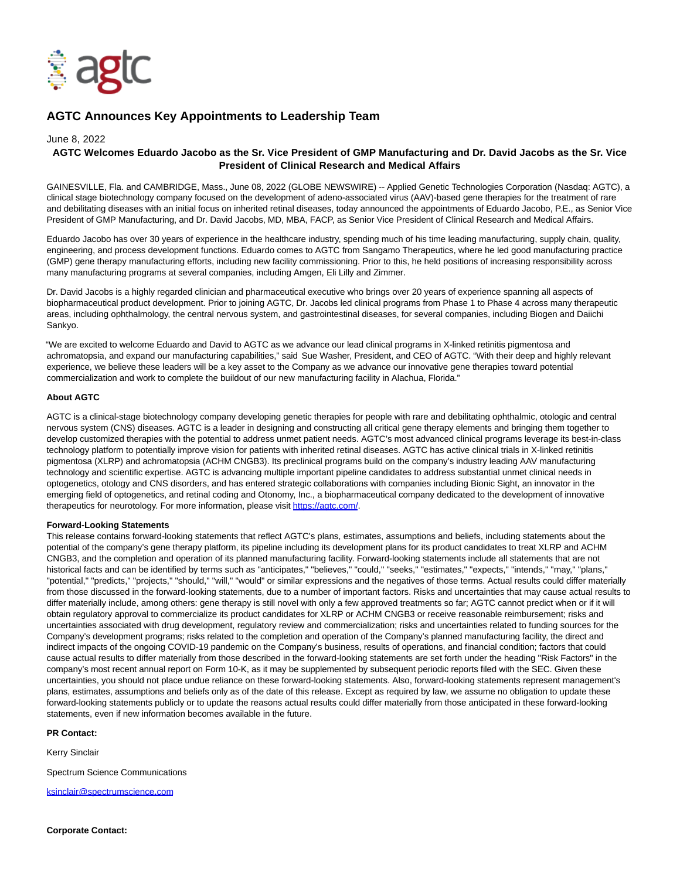

# **AGTC Announces Key Appointments to Leadership Team**

#### June 8, 2022

## **AGTC Welcomes Eduardo Jacobo as the Sr. Vice President of GMP Manufacturing and Dr. David Jacobs as the Sr. Vice President of Clinical Research and Medical Affairs**

GAINESVILLE, Fla. and CAMBRIDGE, Mass., June 08, 2022 (GLOBE NEWSWIRE) -- Applied Genetic Technologies Corporation (Nasdaq: AGTC), a clinical stage biotechnology company focused on the development of adeno-associated virus (AAV)-based gene therapies for the treatment of rare and debilitating diseases with an initial focus on inherited retinal diseases, today announced the appointments of Eduardo Jacobo, P.E., as Senior Vice President of GMP Manufacturing, and Dr. David Jacobs, MD, MBA, FACP, as Senior Vice President of Clinical Research and Medical Affairs.

Eduardo Jacobo has over 30 years of experience in the healthcare industry, spending much of his time leading manufacturing, supply chain, quality, engineering, and process development functions. Eduardo comes to AGTC from Sangamo Therapeutics, where he led good manufacturing practice (GMP) gene therapy manufacturing efforts, including new facility commissioning. Prior to this, he held positions of increasing responsibility across many manufacturing programs at several companies, including Amgen, Eli Lilly and Zimmer.

Dr. David Jacobs is a highly regarded clinician and pharmaceutical executive who brings over 20 years of experience spanning all aspects of biopharmaceutical product development. Prior to joining AGTC, Dr. Jacobs led clinical programs from Phase 1 to Phase 4 across many therapeutic areas, including ophthalmology, the central nervous system, and gastrointestinal diseases, for several companies, including Biogen and Daiichi Sankyo.

"We are excited to welcome Eduardo and David to AGTC as we advance our lead clinical programs in X-linked retinitis pigmentosa and achromatopsia, and expand our manufacturing capabilities," said Sue Washer, President, and CEO of AGTC. "With their deep and highly relevant experience, we believe these leaders will be a key asset to the Company as we advance our innovative gene therapies toward potential commercialization and work to complete the buildout of our new manufacturing facility in Alachua, Florida."

#### **About AGTC**

AGTC is a clinical-stage biotechnology company developing genetic therapies for people with rare and debilitating ophthalmic, otologic and central nervous system (CNS) diseases. AGTC is a leader in designing and constructing all critical gene therapy elements and bringing them together to develop customized therapies with the potential to address unmet patient needs. AGTC's most advanced clinical programs leverage its best-in-class technology platform to potentially improve vision for patients with inherited retinal diseases. AGTC has active clinical trials in X-linked retinitis pigmentosa (XLRP) and achromatopsia (ACHM CNGB3). Its preclinical programs build on the company's industry leading AAV manufacturing technology and scientific expertise. AGTC is advancing multiple important pipeline candidates to address substantial unmet clinical needs in optogenetics, otology and CNS disorders, and has entered strategic collaborations with companies including Bionic Sight, an innovator in the emerging field of optogenetics, and retinal coding and Otonomy, Inc., a biopharmaceutical company dedicated to the development of innovative therapeutics for neurotology. For more information, please visit [https://agtc.com/.](https://www.globenewswire.com/Tracker?data=NjjsFE0yuDmYahRXoVN5MKW8X9_ZSVUvUrZaCyCPDnzbWh0D0Xs4mVjlXV-2Xud0goE3Z_4alz9wLEvYdcUZig==)

### **Forward-Looking Statements**

This release contains forward-looking statements that reflect AGTC's plans, estimates, assumptions and beliefs, including statements about the potential of the company's gene therapy platform, its pipeline including its development plans for its product candidates to treat XLRP and ACHM CNGB3, and the completion and operation of its planned manufacturing facility. Forward-looking statements include all statements that are not historical facts and can be identified by terms such as "anticipates," "believes," "could," "seeks," "estimates," "expects," "intends," "may," "plans," "potential," "predicts," "projects," "should," "will," "would" or similar expressions and the negatives of those terms. Actual results could differ materially from those discussed in the forward-looking statements, due to a number of important factors. Risks and uncertainties that may cause actual results to differ materially include, among others: gene therapy is still novel with only a few approved treatments so far; AGTC cannot predict when or if it will obtain regulatory approval to commercialize its product candidates for XLRP or ACHM CNGB3 or receive reasonable reimbursement; risks and uncertainties associated with drug development, regulatory review and commercialization; risks and uncertainties related to funding sources for the Company's development programs; risks related to the completion and operation of the Company's planned manufacturing facility, the direct and indirect impacts of the ongoing COVID-19 pandemic on the Company's business, results of operations, and financial condition; factors that could cause actual results to differ materially from those described in the forward-looking statements are set forth under the heading "Risk Factors" in the company's most recent annual report on Form 10-K, as it may be supplemented by subsequent periodic reports filed with the SEC. Given these uncertainties, you should not place undue reliance on these forward-looking statements. Also, forward-looking statements represent management's plans, estimates, assumptions and beliefs only as of the date of this release. Except as required by law, we assume no obligation to update these forward-looking statements publicly or to update the reasons actual results could differ materially from those anticipated in these forward-looking statements, even if new information becomes available in the future.

#### **PR Contact:**

Kerry Sinclair

Spectrum Science Communications

[ksinclair@spectrumscience.com](https://www.globenewswire.com/Tracker?data=fV4O3kcDMriytorYHTwKIxtNRTOQJyjcG_YZykfVCwugzy8d66uEYEQEok3gdTNBuTa51gxwa4J52TcqSdND-r1HVtnvUGSzyO3v8IKHW878-6TsI7wjWow9bSw2KmSK)